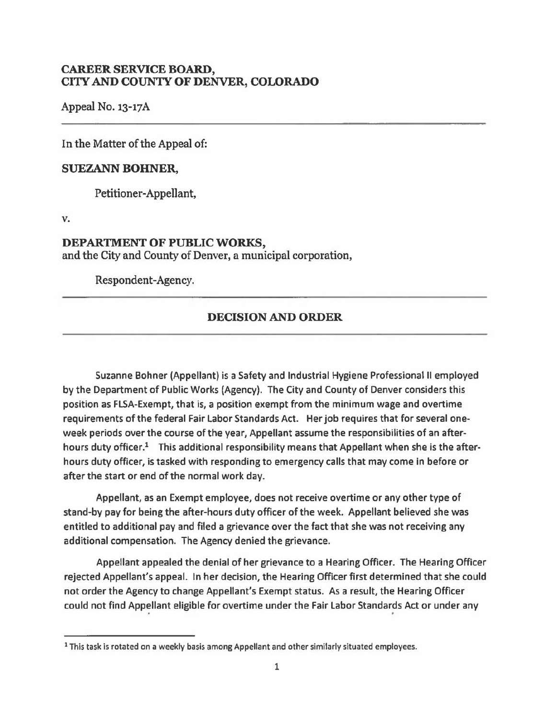## **CAREER SERVICE BOARD, CI'IY AND COUNTY OF DENVER, COLORADO**

Appeal No. 13-17A

In the Matter of the Appeal of:

## **SUEZANN BOHNER,**

Petitioner-Appellant,

**v.** 

## **DEPARTMENT OF PUBLIC WORKS,**

and the City and County of Denver, a municipal corporation,

Respondent-Agency.

## **DECISION AND ORDER**

Suzanne Bohner (Appellant) is a Safety and Industrial Hygiene Professional II employed by the Department of Public Works (Agency). The City and County of Denver considers this position as FLSA-Exempt, that is, a position exempt from the minimum wage and overtime requirements of the federal Fair Labor Standards Act. Her job requires that for several oneweek periods over the course of the year, Appellant assume the responsibilities of an afterhours duty officer.<sup>1</sup> This additional responsibility means that Appellant when she is the afterhours duty officer, is tasked with responding to emergency calls that may come in before or after the start or end of the normal work day.

Appellant, as an Exempt employee, does not receive overtime or any other type of stand-by pay for being the after-hours duty officer of the week. Appellant believed she was entitled to additional pay and filed a grievance over the fact that she was not receiving any additional compensation. The Agency denied the grievance.

Appellant appealed the denial of her grievance to a Hearing Officer. The Hearing Officer rejected Appellant's appeal. In her decision, the Hearing Officer first determined that she could not order the Agency to change Appellant's Exempt status. As a result, the Hearing Officer could not find Appellant eligible for overtime under the Fair Labor Standards Act or under any

<sup>&</sup>lt;sup>1</sup> This task is rotated on a weekly basis among Appellant and other similarly situated employees.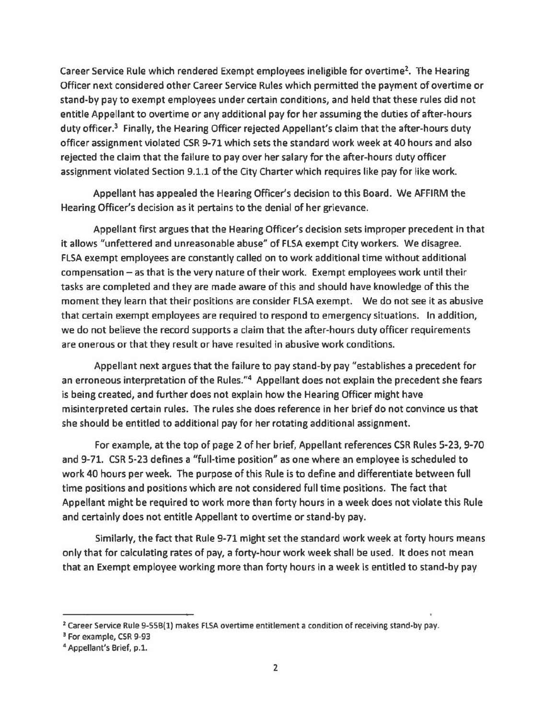Career Service Rule which rendered Exempt employees ineligible for overtime<sup>2</sup>. The Hearing Officer next considered other Career Service Rules which permitted the payment of overtime or stand-by pay to exempt employees under certain conditions, and held that these rules did not entitle Appellant to overtime or any additional pay for her assuming the duties of after-hours duty officer.<sup>3</sup> Finally, the Hearing Officer rejected Appellant's claim that the after-hours duty officer assignment violated CSR 9-71 which sets the standard work week at 40 hours and also rejected the claim that the failure to pay over her salary for the after-hours duty officer assignment violated Section 9.1.1 of the City Charter which requires like pay for like work.

Appellant has appealed the Hearing Officer's decision to this Board. We AFFIRM the Hearing Officer's decision as it pertains to the denial of her grievance.

Appellant first argues that the Hearing Officer's decision sets improper precedent in that it allows "unfettered and unreasonable abuse" of FLSA exempt City workers. We disagree. FLSA exempt employees are constantly called on to work additional time without additional compensation - as that is the very nature of their work. Exempt employees work until their tasks are completed and they are made aware of this and should have knowledge of this the moment they learn that their positions are consider FLSA exempt. We do not see it as abusive that certain exempt employees are required to respond to emergency situations. In addition, we do not believe the record supports a claim that the after-hours duty officer requirements are onerous or that they result or have resulted in abusive work conditions.

Appellant next argues that the failure to pay stand-by pay "establishes a precedent for an erroneous interpretation of the Rules."<sup>4</sup> Appellant does not explain the precedent she fears is being created, and further does not explain how the Hearing Officer might have misinterpreted certain rules. The rules she does reference in her brief do not convince us that she should be entitled to additional pay for her rotating additional assignment.

For example, at the top of page 2 of her brief, Appellant references CSR Rules 5-23, 9-70 and 9-71. CSR 5-23 defines a "full-time position" as one where an employee is scheduled to work 40 hours per week. The purpose of this Rule is to define and differentiate between full time positions and positions which are not considered full time positions. The fact that Appellant might be required to work more than forty hours in a week does not violate this Rule and certainly does not entitle Appellant to overtime or stand-by pay.

Similarly, the fact that Rule 9-71 might set the standard work week at forty hours means only that for calculating rates of pay, a forty-hour work week shall be used. It does not mean that an Exempt employee working more than forty hours in a week is entitled to stand-by pay

<sup>&</sup>lt;sup>2</sup> Career Service Rule 9-55B(1) makes FLSA overtime entitlement a condition of receiving stand-by pay.<br><sup>3</sup> For example, CSR 9-93

<sup>4</sup> Appellant's Brief, p.1.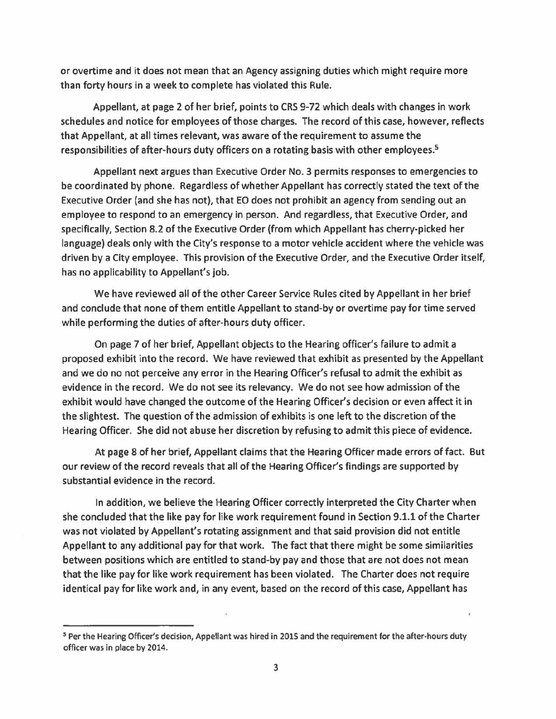or overtime and it does not mean that an Agency assigning duties which might require more than forty hours in a week to complete has violated this Rule.

Appellant, at page 2 of her brief, points to CRS 9-72 which deals with changes in work schedules and notice for employees of those charges. The record of this case, however, reflects that Appellant, at all times relevant, was aware of the requirement to assume the responsibilities of after-hours duty officers on a rotating basis with other employees.<sup>5</sup>

Appellant next argues than Executive Order No. 3 permits responses to emergencies to be coordinated by phone. Regardless of whether Appellant has correctly stated the text of the Executive Order (and she has not), that EO does not prohibit an agency from sending out an employee to respond to an emergency in person. And regardless, that Executive Order, and specifically, Section 8.2 of the Executive Order (from which Appellant has cherry-picked her language) deals only with the City's response to a motor vehicle accident where the vehicle was driven by a City employee. This provision of the Executive Order, and the Executive Order itself, has no applicability to Appellant's job.

We have reviewed all of the other Career Service Rules cited by Appellant in her brief and conclude that none of them entitle Appellant to stand-by or overtime pay for time served while performing the duties of after-hours duty officer.

On page 7 of her brief, Appellant objects to the Hearing officer's failure to admit a proposed exhibit into the record. We have reviewed that exhibit as presented by the Appellant and we do no not perceive any error in the Hearing Officer's refusal to admit the exhibit as evidence in the record. We do not see its relevancy. We do not see how admission of the exhibit would have changed the outcome of the Hearing Officer's decision or even affect it in the slightest. The question of the admission of exhibits is one left to the discretion of the Hearing Officer. She did not abuse her discretion by refusing to admit this piece of evidence.

At page 8 of her brief, Appellant claims that the Hearing Officer made errors of fact. But our review of the record reveals that all of the Hearing Officer's findings are supported by substantial evidence in the record.

In addition, we believe the Hearing Officer correctly interpreted the City Charter when she concluded that the like pay for like work requirement found in Section 9.1.1 of the Charter was not violated by Appellant's rotating assignment and that said provision did not entitle Appellant to any additional pay for that work. The fact that there might be some similarities between positions which are entitled to stand-by pay and those that are not does not mean that the like pay for like work requirement has been violated. The Charter does not require identical pay for like work and, in any event, based on the record of this case, Appellant has

<sup>5</sup> Per the Hearing Officer's decision, Appellant was hired in 2015 and the requirement for the after-hours duty officer was in place by 2014.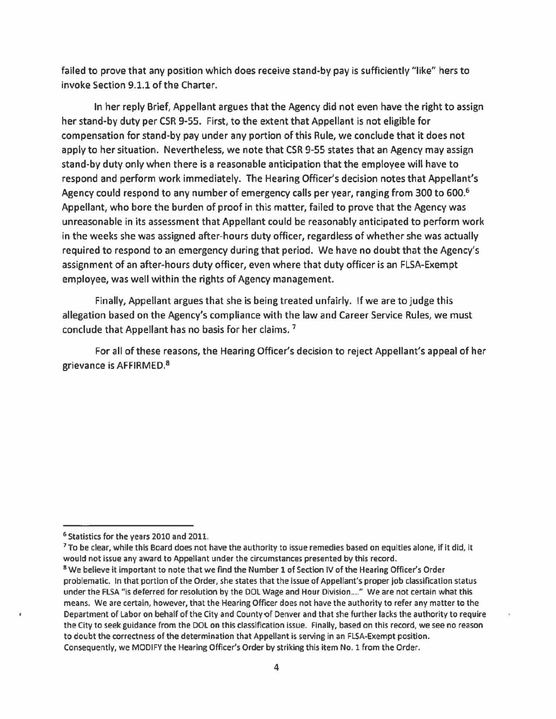failed to prove that any position which does receive stand-by pay is sufficiently "like" hers to invoke Section 9.1.1 of the Charter.

In her reply Brief, Appellant argues that the Agency did not even have the right to assign her stand-by duty per CSR 9-55. First, to the extent that Appellant is not eligible for compensation for stand-by pay under any portion of this Rule, we conclude that it does not apply to her situation. Nevertheless, we note that CSR 9-55 states that an Agency may assign stand-by duty only when there is a reasonable anticipation that the employee will have to respond and perform work immediately. The Hearing Officer's decision notes that Appellant's Agency could respond to any number of emergency calls per year, ranging from 300 to 600.<sup>6</sup> Appellant, who bore the burden of proof in this matter, failed to prove that the Agency was unreasonable in its assessment that Appellant could be reasonably anticipated to perform work in the weeks she was assigned after-hours duty officer, regardless of whether she was actually required to respond to an emergency during that period. We have no doubt that the Agency's assignment of an after-hours duty officer, even where that duty officer is an FLSA-Exempt employee, was well within the rights of Agency management.

Finally, Appellant argues that she is being treated unfairly. If we are to judge this allegation based on the Agency's compliance with the law and Career Service Rules, we must conclude that Appellant has no basis for her claims. 7

For all of these reasons, the Hearing Officer's decision to reject Appellant's appeal of her grievance is AFFIRMED. 8

<sup>6</sup> Statistics for the years 2010 and 2011.<br><sup>7</sup> To be clear, while this Board does not have the authority to issue remedies based on equities alone, if it did, it would not issue any award to Appellant under the circumstances presented by this record.

<sup>8</sup> We believe it important to note that we find the Number 1 of Section IV of the Hearing Officer's Order problematic. In that portion of the Order, she states that the issue of Appellant's proper job classification status under the FLSA "is deferred for resolution by the DOL Wage and Hour Division...." We are not certain what this means. We are certain, however, that the Hearing Officer does not have the authority to refer any matter to the Department of Labor on behalf of the City and County of Denver and that she further lacks the authority to require the City to seek guidance from the DOL on this classification issue. Finally, based on this record, we see no reason to doubt the correctness of the determination that Appellant is serving in an FLSA·Exempt position. Consequently, we MODIFY the Hearing Officer's Order by striking this item No. 1 from the Order.